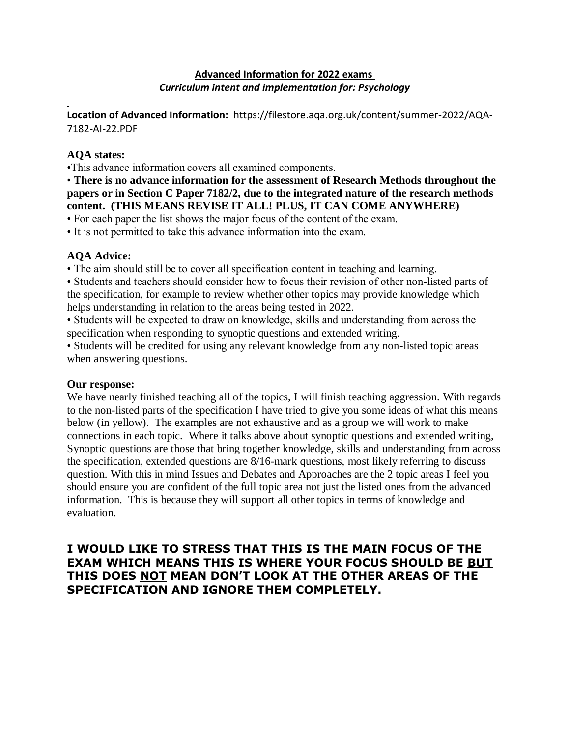# **Advanced Information for 2022 exams** *Curriculum intent and implementation for: Psychology*

**Location of Advanced Information:** https://filestore.aqa.org.uk/content/summer-2022/AQA-7182-AI-22.PDF

# **AQA states:**

•This advance information covers all examined components. 

• **There is no advance information for the assessment of Research Methods throughout the papers or in Section C Paper 7182/2, due to the integrated nature of the research methods content. (THIS MEANS REVISE IT ALL! PLUS, IT CAN COME ANYWHERE)**

• For each paper the list shows the major focus of the content of the exam.

• It is not permitted to take this advance information into the exam.

# **AQA Advice:**

• The aim should still be to cover all specification content in teaching and learning.

• Students and teachers should consider how to focus their revision of other non-listed parts of the specification, for example to review whether other topics may provide knowledge which helps understanding in relation to the areas being tested in 2022.

• Students will be expected to draw on knowledge, skills and understanding from across the specification when responding to synoptic questions and extended writing.

• Students will be credited for using any relevant knowledge from any non-listed topic areas when answering questions.

# **Our response:**

We have nearly finished teaching all of the topics, I will finish teaching aggression. With regards to the non-listed parts of the specification I have tried to give you some ideas of what this means below (in yellow). The examples are not exhaustive and as a group we will work to make connections in each topic. Where it talks above about synoptic questions and extended writing, Synoptic questions are those that bring together knowledge, skills and understanding from across the specification, extended questions are 8/16-mark questions, most likely referring to discuss question. With this in mind Issues and Debates and Approaches are the 2 topic areas I feel you should ensure you are confident of the full topic area not just the listed ones from the advanced information. This is because they will support all other topics in terms of knowledge and evaluation.

# **I WOULD LIKE TO STRESS THAT THIS IS THE MAIN FOCUS OF THE EXAM WHICH MEANS THIS IS WHERE YOUR FOCUS SHOULD BE BUT THIS DOES NOT MEAN DON'T LOOK AT THE OTHER AREAS OF THE SPECIFICATION AND IGNORE THEM COMPLETELY.**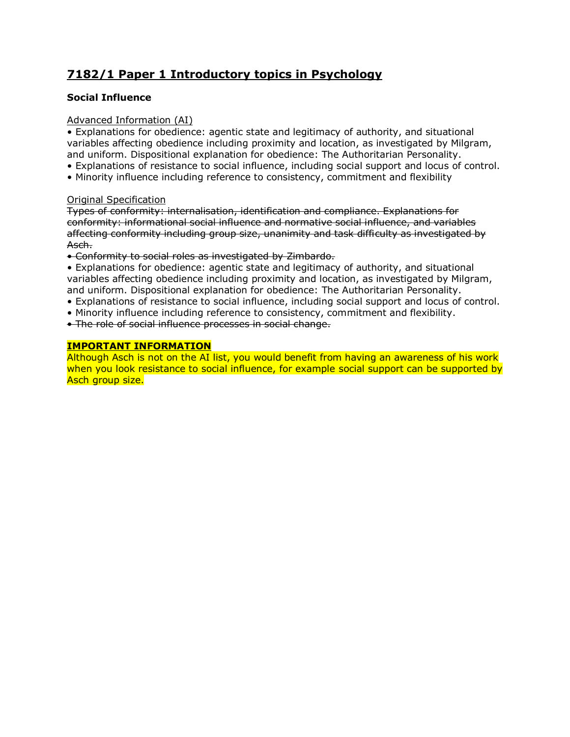# **7182/1 Paper 1 Introductory topics in Psychology**

# **Social Influence**

# Advanced Information (AI)

• Explanations for obedience: agentic state and legitimacy of authority, and situational variables affecting obedience including proximity and location, as investigated by Milgram, and uniform. Dispositional explanation for obedience: The Authoritarian Personality.

- Explanations of resistance to social influence, including social support and locus of control.
- Minority influence including reference to consistency, commitment and flexibility

## Original Specification

Types of conformity: internalisation, identification and compliance. Explanations for conformity: informational social influence and normative social influence, and variables affecting conformity including group size, unanimity and task difficulty as investigated by Asch.

• Conformity to social roles as investigated by Zimbardo.

• Explanations for obedience: agentic state and legitimacy of authority, and situational variables affecting obedience including proximity and location, as investigated by Milgram, and uniform. Dispositional explanation for obedience: The Authoritarian Personality.

- Explanations of resistance to social influence, including social support and locus of control.
- Minority influence including reference to consistency, commitment and flexibility.

• The role of social influence processes in social change.

# **IMPORTANT INFORMATION**

Although Asch is not on the AI list, you would benefit from having an awareness of his work when you look resistance to social influence, for example social support can be supported by Asch group size.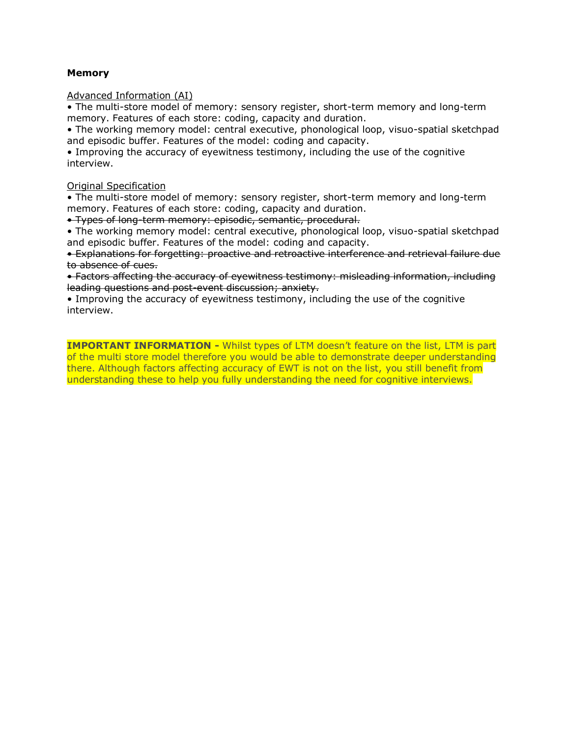#### **Memory**

Advanced Information (AI)

• The multi-store model of memory: sensory register, short-term memory and long-term memory. Features of each store: coding, capacity and duration.

• The working memory model: central executive, phonological loop, visuo-spatial sketchpad and episodic buffer. Features of the model: coding and capacity.

• Improving the accuracy of eyewitness testimony, including the use of the cognitive interview.

#### Original Specification

• The multi-store model of memory: sensory register, short-term memory and long-term memory. Features of each store: coding, capacity and duration.

• Types of long-term memory: episodic, semantic, procedural.

• The working memory model: central executive, phonological loop, visuo-spatial sketchpad and episodic buffer. Features of the model: coding and capacity.

• Explanations for forgetting: proactive and retroactive interference and retrieval failure due to absence of cues.

• Factors affecting the accuracy of eyewitness testimony: misleading information, including leading questions and post-event discussion; anxiety.

• Improving the accuracy of eyewitness testimony, including the use of the cognitive interview.

**IMPORTANT INFORMATION -** Whilst types of LTM doesn't feature on the list, LTM is part of the multi store model therefore you would be able to demonstrate deeper understanding there. Although factors affecting accuracy of EWT is not on the list, you still benefit from understanding these to help you fully understanding the need for cognitive interviews.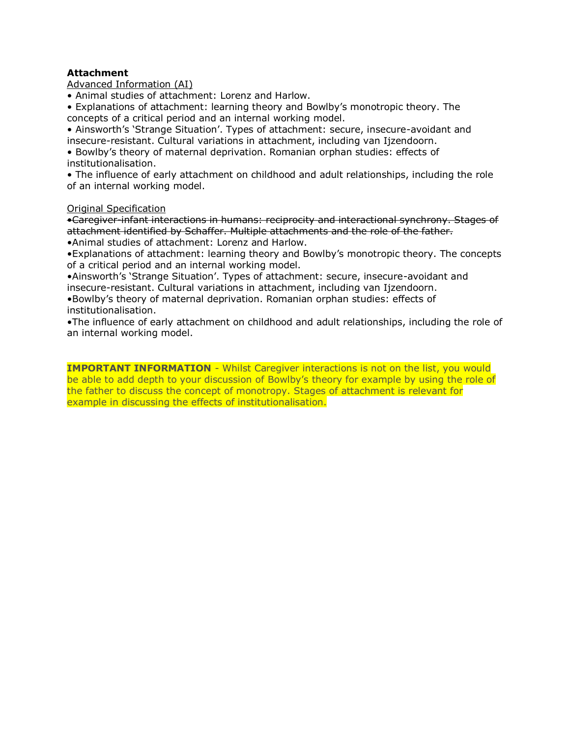# **Attachment**

Advanced Information (AI)

• Animal studies of attachment: Lorenz and Harlow.

• Explanations of attachment: learning theory and Bowlby's monotropic theory. The concepts of a critical period and an internal working model.

• Ainsworth's 'Strange Situation'. Types of attachment: secure, insecure-avoidant and insecure-resistant. Cultural variations in attachment, including van Ijzendoorn.

• Bowlby's theory of maternal deprivation. Romanian orphan studies: effects of institutionalisation.

• The influence of early attachment on childhood and adult relationships, including the role of an internal working model.

#### Original Specification

•Caregiver-infant interactions in humans: reciprocity and interactional synchrony. Stages of attachment identified by Schaffer. Multiple attachments and the role of the father. •Animal studies of attachment: Lorenz and Harlow.

•Explanations of attachment: learning theory and Bowlby's monotropic theory. The concepts of a critical period and an internal working model.

•Ainsworth's 'Strange Situation'. Types of attachment: secure, insecure-avoidant and insecure-resistant. Cultural variations in attachment, including van Ijzendoorn.

•Bowlby's theory of maternal deprivation. Romanian orphan studies: effects of institutionalisation.

•The influence of early attachment on childhood and adult relationships, including the role of an internal working model.

**IMPORTANT INFORMATION** - Whilst Caregiver interactions is not on the list, you would be able to add depth to your discussion of Bowlby's theory for example by using the role of the father to discuss the concept of monotropy. Stages of attachment is relevant for example in discussing the effects of institutionalisation.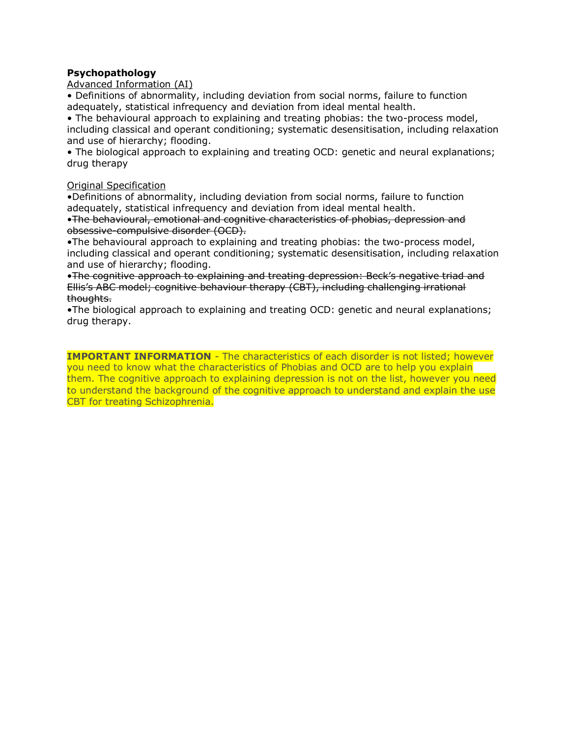# **Psychopathology**

Advanced Information (AI)

• Definitions of abnormality, including deviation from social norms, failure to function adequately, statistical infrequency and deviation from ideal mental health.

• The behavioural approach to explaining and treating phobias: the two-process model, including classical and operant conditioning; systematic desensitisation, including relaxation and use of hierarchy; flooding.

• The biological approach to explaining and treating OCD: genetic and neural explanations; drug therapy

#### Original Specification

•Definitions of abnormality, including deviation from social norms, failure to function adequately, statistical infrequency and deviation from ideal mental health.

•The behavioural, emotional and cognitive characteristics of phobias, depression and obsessive-compulsive disorder (OCD).

•The behavioural approach to explaining and treating phobias: the two-process model, including classical and operant conditioning; systematic desensitisation, including relaxation and use of hierarchy; flooding.

•The cognitive approach to explaining and treating depression: Beck's negative triad and Ellis's ABC model; cognitive behaviour therapy (CBT), including challenging irrational thoughts.

•The biological approach to explaining and treating OCD: genetic and neural explanations; drug therapy.

**IMPORTANT INFORMATION** - The characteristics of each disorder is not listed; however you need to know what the characteristics of Phobias and OCD are to help you explain them. The cognitive approach to explaining depression is not on the list, however you need to understand the background of the cognitive approach to understand and explain the use CBT for treating Schizophrenia.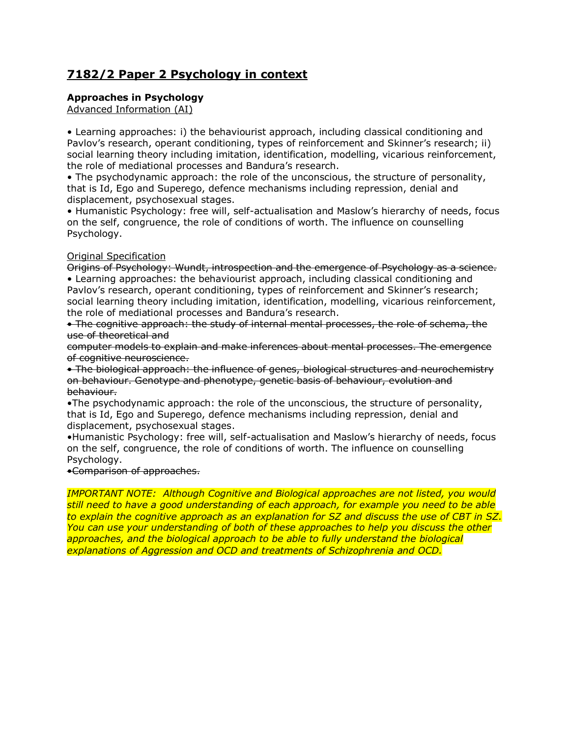# **7182/2 Paper 2 Psychology in context**

# **Approaches in Psychology**

Advanced Information (AI)

• Learning approaches: i) the behaviourist approach, including classical conditioning and Pavlov's research, operant conditioning, types of reinforcement and Skinner's research; ii) social learning theory including imitation, identification, modelling, vicarious reinforcement, the role of mediational processes and Bandura's research.

• The psychodynamic approach: the role of the unconscious, the structure of personality, that is Id, Ego and Superego, defence mechanisms including repression, denial and displacement, psychosexual stages.

• Humanistic Psychology: free will, self-actualisation and Maslow's hierarchy of needs, focus on the self, congruence, the role of conditions of worth. The influence on counselling Psychology.

## Original Specification

Origins of Psychology: Wundt, introspection and the emergence of Psychology as a science. • Learning approaches: the behaviourist approach, including classical conditioning and Pavlov's research, operant conditioning, types of reinforcement and Skinner's research; social learning theory including imitation, identification, modelling, vicarious reinforcement, the role of mediational processes and Bandura's research.

• The cognitive approach: the study of internal mental processes, the role of schema, the use of theoretical and

computer models to explain and make inferences about mental processes. The emergence of cognitive neuroscience.

• The biological approach: the influence of genes, biological structures and neurochemistry on behaviour. Genotype and phenotype, genetic basis of behaviour, evolution and behaviour.

•The psychodynamic approach: the role of the unconscious, the structure of personality, that is Id, Ego and Superego, defence mechanisms including repression, denial and displacement, psychosexual stages.

•Humanistic Psychology: free will, self-actualisation and Maslow's hierarchy of needs, focus on the self, congruence, the role of conditions of worth. The influence on counselling Psychology.

•Comparison of approaches.

*IMPORTANT NOTE: Although Cognitive and Biological approaches are not listed, you would still need to have a good understanding of each approach, for example you need to be able to explain the cognitive approach as an explanation for SZ and discuss the use of CBT in SZ. You can use your understanding of both of these approaches to help you discuss the other approaches, and the biological approach to be able to fully understand the biological explanations of Aggression and OCD and treatments of Schizophrenia and OCD.*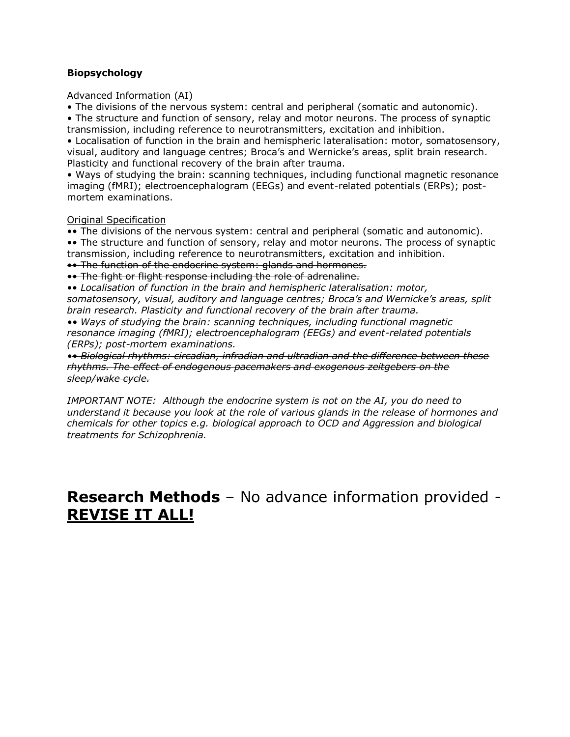# **Biopsychology**

#### Advanced Information (AI)

• The divisions of the nervous system: central and peripheral (somatic and autonomic).

• The structure and function of sensory, relay and motor neurons. The process of synaptic transmission, including reference to neurotransmitters, excitation and inhibition.

• Localisation of function in the brain and hemispheric lateralisation: motor, somatosensory, visual, auditory and language centres; Broca's and Wernicke's areas, split brain research. Plasticity and functional recovery of the brain after trauma.

• Ways of studying the brain: scanning techniques, including functional magnetic resonance imaging (fMRI); electroencephalogram (EEGs) and event-related potentials (ERPs); postmortem examinations.

#### Original Specification

•• The divisions of the nervous system: central and peripheral (somatic and autonomic). •• The structure and function of sensory, relay and motor neurons. The process of synaptic transmission, including reference to neurotransmitters, excitation and inhibition.

•• The function of the endocrine system: glands and hormones.

•• The fight or flight response including the role of adrenaline.

•• *Localisation of function in the brain and hemispheric lateralisation: motor, somatosensory, visual, auditory and language centres; Broca's and Wernicke's areas, split brain research. Plasticity and functional recovery of the brain after trauma.*

*•• Ways of studying the brain: scanning techniques, including functional magnetic resonance imaging (fMRI); electroencephalogram (EEGs) and event-related potentials (ERPs); post-mortem examinations.*

*•• Biological rhythms: circadian, infradian and ultradian and the difference between these rhythms. The effect of endogenous pacemakers and exogenous zeitgebers on the sleep/wake cycle.*

*IMPORTANT NOTE: Although the endocrine system is not on the AI, you do need to understand it because you look at the role of various glands in the release of hormones and chemicals for other topics e.g. biological approach to OCD and Aggression and biological treatments for Schizophrenia.* 

# **Research Methods** – No advance information provided - **REVISE IT ALL!**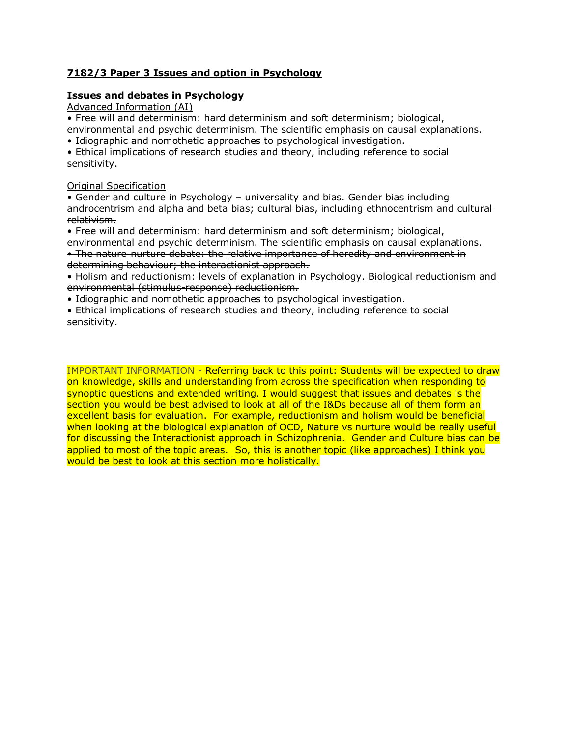# **7182/3 Paper 3 Issues and option in Psychology**

#### **Issues and debates in Psychology**

Advanced Information (AI)

• Free will and determinism: hard determinism and soft determinism; biological,

environmental and psychic determinism. The scientific emphasis on causal explanations.

• Idiographic and nomothetic approaches to psychological investigation.

• Ethical implications of research studies and theory, including reference to social sensitivity.

#### Original Specification

• Gender and culture in Psychology – universality and bias. Gender bias including androcentrism and alpha and beta bias; cultural bias, including ethnocentrism and cultural relativism.

• Free will and determinism: hard determinism and soft determinism; biological, environmental and psychic determinism. The scientific emphasis on causal explanations.

• The nature-nurture debate: the relative importance of heredity and environment in determining behaviour; the interactionist approach.

• Holism and reductionism: levels of explanation in Psychology. Biological reductionism and environmental (stimulus-response) reductionism.

• Idiographic and nomothetic approaches to psychological investigation.

• Ethical implications of research studies and theory, including reference to social sensitivity.

IMPORTANT INFORMATION - Referring back to this point: Students will be expected to draw on knowledge, skills and understanding from across the specification when responding to synoptic questions and extended writing. I would suggest that issues and debates is the section you would be best advised to look at all of the I&Ds because all of them form an excellent basis for evaluation. For example, reductionism and holism would be beneficial when looking at the biological explanation of OCD, Nature vs nurture would be really useful for discussing the Interactionist approach in Schizophrenia. Gender and Culture bias can be applied to most of the topic areas. So, this is another topic (like approaches) I think you would be best to look at this section more holistically.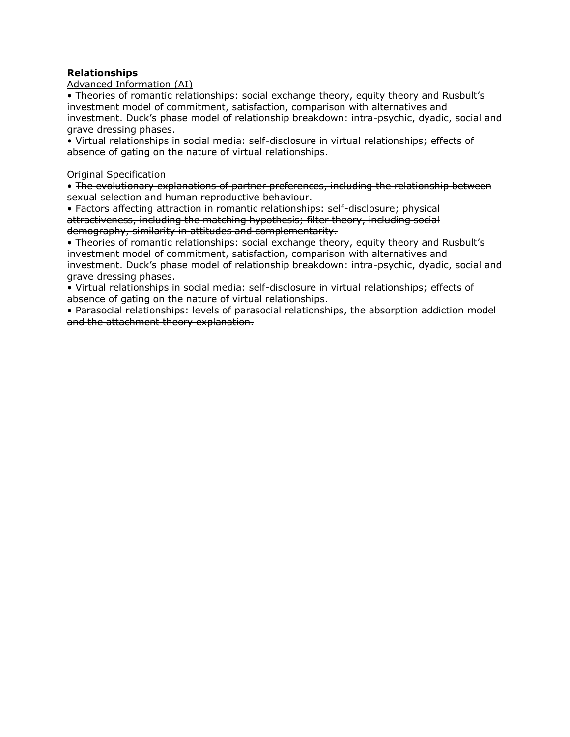#### **Relationships**

#### Advanced Information (AI)

• Theories of romantic relationships: social exchange theory, equity theory and Rusbult's investment model of commitment, satisfaction, comparison with alternatives and investment. Duck's phase model of relationship breakdown: intra-psychic, dyadic, social and grave dressing phases.

• Virtual relationships in social media: self-disclosure in virtual relationships; effects of absence of gating on the nature of virtual relationships.

#### Original Specification

• The evolutionary explanations of partner preferences, including the relationship between sexual selection and human reproductive behaviour.

• Factors affecting attraction in romantic relationships: self-disclosure; physical attractiveness, including the matching hypothesis; filter theory, including social demography, similarity in attitudes and complementarity.

• Theories of romantic relationships: social exchange theory, equity theory and Rusbult's investment model of commitment, satisfaction, comparison with alternatives and investment. Duck's phase model of relationship breakdown: intra-psychic, dyadic, social and grave dressing phases.

• Virtual relationships in social media: self-disclosure in virtual relationships; effects of absence of gating on the nature of virtual relationships.

• Parasocial relationships: levels of parasocial relationships, the absorption addiction model and the attachment theory explanation.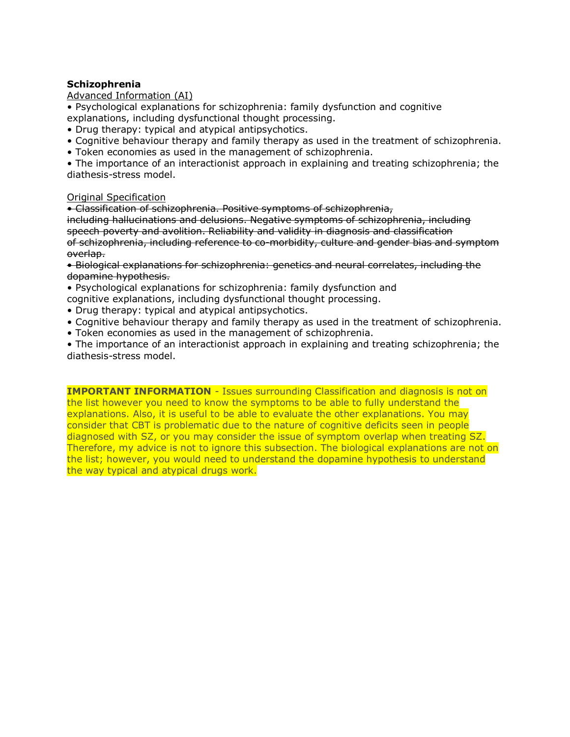#### **Schizophrenia**

#### Advanced Information (AI)

• Psychological explanations for schizophrenia: family dysfunction and cognitive explanations, including dysfunctional thought processing.

- Drug therapy: typical and atypical antipsychotics.
- Cognitive behaviour therapy and family therapy as used in the treatment of schizophrenia.
- Token economies as used in the management of schizophrenia.

• The importance of an interactionist approach in explaining and treating schizophrenia; the diathesis-stress model.

#### Original Specification

• Classification of schizophrenia. Positive symptoms of schizophrenia,

including hallucinations and delusions. Negative symptoms of schizophrenia, including speech poverty and avolition. Reliability and validity in diagnosis and classification of schizophrenia, including reference to co-morbidity, culture and gender bias and symptom overlap.

• Biological explanations for schizophrenia: genetics and neural correlates, including the dopamine hypothesis.

• Psychological explanations for schizophrenia: family dysfunction and cognitive explanations, including dysfunctional thought processing.

- Drug therapy: typical and atypical antipsychotics.
- Cognitive behaviour therapy and family therapy as used in the treatment of schizophrenia.
- Token economies as used in the management of schizophrenia.

• The importance of an interactionist approach in explaining and treating schizophrenia; the diathesis-stress model.

**IMPORTANT INFORMATION** - Issues surrounding Classification and diagnosis is not on the list however you need to know the symptoms to be able to fully understand the explanations. Also, it is useful to be able to evaluate the other explanations. You may consider that CBT is problematic due to the nature of cognitive deficits seen in people diagnosed with SZ, or you may consider the issue of symptom overlap when treating SZ. Therefore, my advice is not to ignore this subsection. The biological explanations are not on the list; however, you would need to understand the dopamine hypothesis to understand the way typical and atypical drugs work.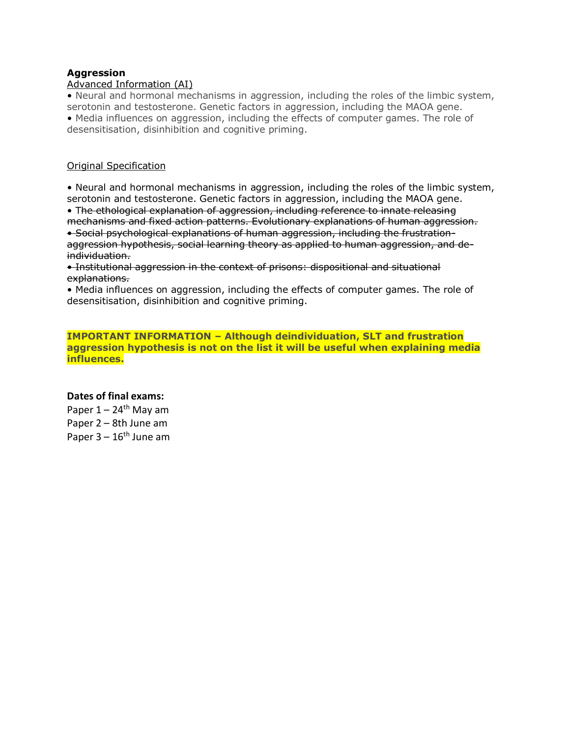#### **Aggression**

#### Advanced Information (AI)

• Neural and hormonal mechanisms in aggression, including the roles of the limbic system, serotonin and testosterone. Genetic factors in aggression, including the MAOA gene. • Media influences on aggression, including the effects of computer games. The role of desensitisation, disinhibition and cognitive priming.

#### Original Specification

• Neural and hormonal mechanisms in aggression, including the roles of the limbic system, serotonin and testosterone. Genetic factors in aggression, including the MAOA gene.

• The ethological explanation of aggression, including reference to innate releasing mechanisms and fixed action patterns. Evolutionary explanations of human aggression. • Social psychological explanations of human aggression, including the frustrationaggression hypothesis, social learning theory as applied to human aggression, and deindividuation.

• Institutional aggression in the context of prisons: dispositional and situational explanations.

• Media influences on aggression, including the effects of computer games. The role of desensitisation, disinhibition and cognitive priming.

**IMPORTANT INFORMATION – Although deindividuation, SLT and frustration aggression hypothesis is not on the list it will be useful when explaining media influences.**

#### **Dates of final exams:**

Paper  $1 - 24$ <sup>th</sup> May am Paper 2 – 8th June am Paper  $3 - 16$ <sup>th</sup> June am